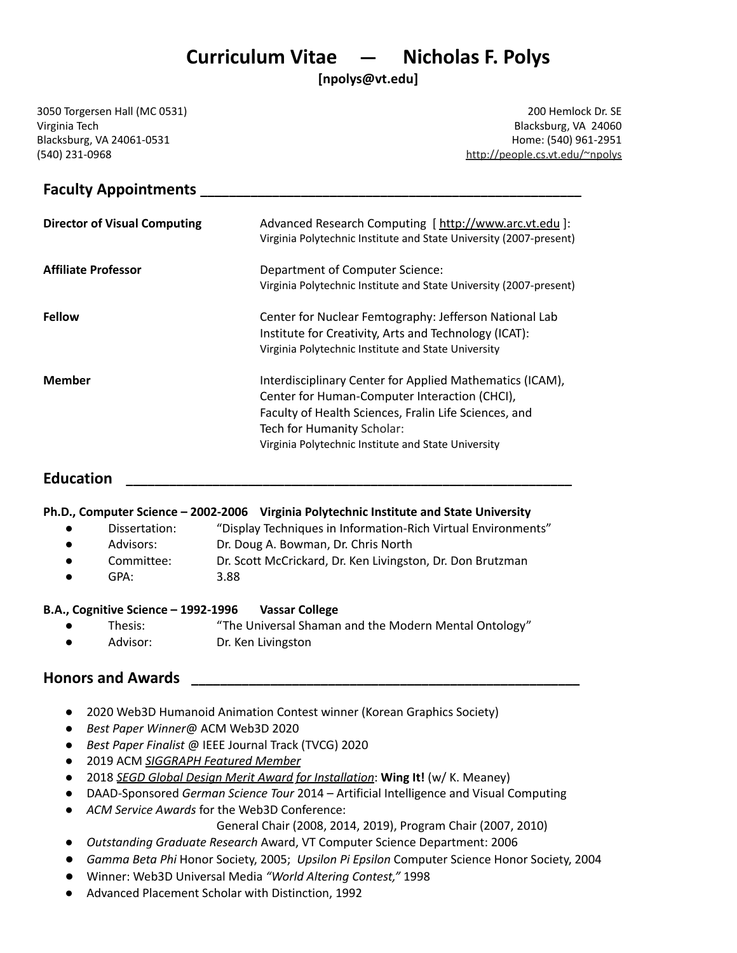# **Curriculum Vitae — Nicholas F. Polys**

**[npolys@vt.edu]**

3050 Torgersen Hall (MC 0531) Virginia Tech Blacksburg, VA 24061-0531 (540) 231-0968

200 Hemlock Dr. SE Blacksburg, VA 24060 Home: (540) 961-2951 [http://people.cs.vt.edu/~npolys](http://people.cs.vt.edu/~npolys/)

# **Faculty Appointments \_\_\_\_\_\_\_\_\_\_\_\_\_\_\_\_\_\_\_\_\_\_\_\_\_\_\_\_\_\_\_\_\_\_\_\_\_\_\_\_\_\_\_\_\_\_\_\_\_\_\_\_\_**

| <b>Director of Visual Computing</b> | Advanced Research Computing [ http://www.arc.vt.edu ]:<br>Virginia Polytechnic Institute and State University (2007-present)                                                                                                                            |
|-------------------------------------|---------------------------------------------------------------------------------------------------------------------------------------------------------------------------------------------------------------------------------------------------------|
| <b>Affiliate Professor</b>          | Department of Computer Science:<br>Virginia Polytechnic Institute and State University (2007-present)                                                                                                                                                   |
| <b>Fellow</b>                       | Center for Nuclear Femtography: Jefferson National Lab<br>Institute for Creativity, Arts and Technology (ICAT):<br>Virginia Polytechnic Institute and State University                                                                                  |
| <b>Member</b>                       | Interdisciplinary Center for Applied Mathematics (ICAM),<br>Center for Human-Computer Interaction (CHCI),<br>Faculty of Health Sciences, Fralin Life Sciences, and<br>Tech for Humanity Scholar:<br>Virginia Polytechnic Institute and State University |

# **Education \_\_\_\_\_\_\_\_\_\_\_\_\_\_\_\_\_\_\_\_\_\_\_\_\_\_\_\_\_\_\_\_\_\_\_\_\_\_\_\_\_\_\_\_\_\_\_\_\_\_\_\_\_\_\_\_\_\_\_\_\_\_**

#### **Ph.D., Computer Science – 2002-2006 Virginia Polytechnic Institute and State University**

- Dissertation: "Display Techniques in Information-Rich Virtual Environments"
- Advisors: Dr. Doug A. Bowman, Dr. Chris North
- Committee: Dr. Scott McCrickard, Dr. Ken Livingston, Dr. Don Brutzman
- GPA: 3.88

#### **B.A., Cognitive Science – 1992-1996 Vassar College**

- Thesis: "The Universal Shaman and the Modern Mental Ontology"
- Advisor: Dr. Ken Livingston

# **Honors and Awards \_\_\_\_\_\_\_\_\_\_\_\_\_\_\_\_\_\_\_\_\_\_\_\_\_\_\_\_\_\_\_\_\_\_\_\_\_\_\_\_\_\_\_\_\_\_\_\_\_\_\_\_\_\_**

- 2020 Web3D Humanoid Animation Contest winner (Korean Graphics Society)
- *Best Paper Winner*@ ACM Web3D 2020
- *Best Paper Finalist* @ IEEE Journal Track (TVCG) 2020
- 2019 ACM *[SIGGRAPH](https://www.siggraph.org/member-profile/nicholas-f-polys/) Featured Member*
- 2018 *SEGD Global [Design](https://segd.org/wing-it%E2%80%94-winged-insect-exhibit) Merit Award for Installation*: **Wing It!** (w/ K. Meaney)
- DAAD-Sponsored *German Science Tour* 2014 Artificial Intelligence and Visual Computing
- *ACM Service Awards* for the Web3D Conference:

General Chair (2008, 2014, 2019), Program Chair (2007, 2010)

- *Outstanding Graduate Research* Award, VT Computer Science Department: 2006
- *Gamma Beta Phi* Honor Society, 2005; *Upsilon Pi Epsilon* Computer Science Honor Society, 2004
- Winner: Web3D Universal Media *"World Altering Contest,"* 1998
- Advanced Placement Scholar with Distinction, 1992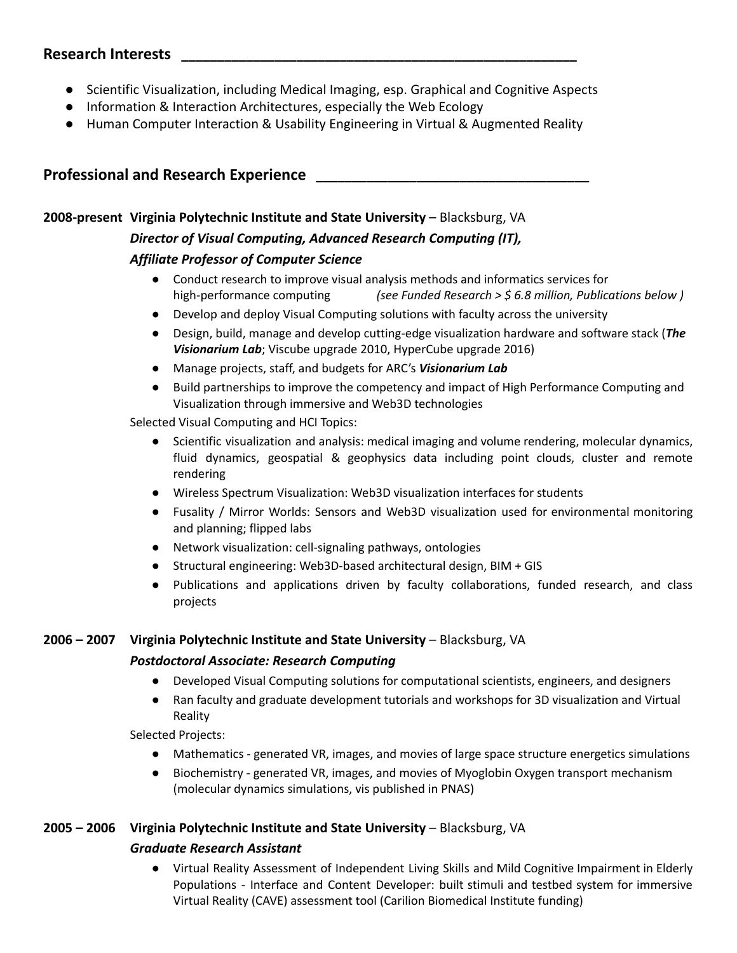# **Research Interests \_\_\_\_\_\_\_\_\_\_\_\_\_\_\_\_\_\_\_\_\_\_\_\_\_\_\_\_\_\_\_\_\_\_\_\_\_\_\_\_\_\_\_\_\_\_\_\_\_\_\_\_\_\_\_**

- Scientific Visualization, including Medical Imaging, esp. Graphical and Cognitive Aspects
- Information & Interaction Architectures, especially the Web Ecology
- Human Computer Interaction & Usability Engineering in Virtual & Augmented Reality

# **Professional and Research Experience \_\_\_\_\_\_\_\_\_\_\_\_\_\_\_\_\_\_\_\_\_\_\_\_\_\_\_\_\_\_\_\_\_\_\_\_\_\_**

# **2008-present Virginia Polytechnic Institute and State University** – Blacksburg, VA

# *Director of Visual Computing, Advanced Research Computing (IT),*

### *Affiliate Professor of Computer Science*

- Conduct research to improve visual analysis methods and informatics services for high-performance computing *(see Funded Research > \$ 6.8 million, Publications below )*
- Develop and deploy Visual Computing solutions with faculty across the university
- Design, build, manage and develop cutting-edge visualization hardware and software stack (*The Visionarium Lab*; Viscube upgrade 2010, HyperCube upgrade 2016)
- Manage projects, staff, and budgets for ARC's *Visionarium Lab*
- Build partnerships to improve the competency and impact of High Performance Computing and Visualization through immersive and Web3D technologies

Selected Visual Computing and HCI Topics:

- Scientific visualization and analysis: medical imaging and volume rendering, molecular dynamics, fluid dynamics, geospatial & geophysics data including point clouds, cluster and remote rendering
- Wireless Spectrum Visualization: Web3D visualization interfaces for students
- Fusality / Mirror Worlds: Sensors and Web3D visualization used for environmental monitoring and planning; flipped labs
- Network visualization: cell-signaling pathways, ontologies
- Structural engineering: Web3D-based architectural design, BIM + GIS
- Publications and applications driven by faculty collaborations, funded research, and class projects

#### **2006 – 2007 Virginia Polytechnic Institute and State University** – Blacksburg, VA

#### *Postdoctoral Associate: Research Computing*

- Developed Visual Computing solutions for computational scientists, engineers, and designers
- Ran faculty and graduate development tutorials and workshops for 3D visualization and Virtual Reality

Selected Projects:

- Mathematics generated VR, images, and movies of large space structure energetics simulations
- Biochemistry generated VR, images, and movies of Myoglobin Oxygen transport mechanism (molecular dynamics simulations, vis published in PNAS)

# **2005 – 2006 Virginia Polytechnic Institute and State University** – Blacksburg, VA

#### *Graduate Research Assistant*

● Virtual Reality Assessment of Independent Living Skills and Mild Cognitive Impairment in Elderly Populations - Interface and Content Developer: built stimuli and testbed system for immersive Virtual Reality (CAVE) assessment tool (Carilion Biomedical Institute funding)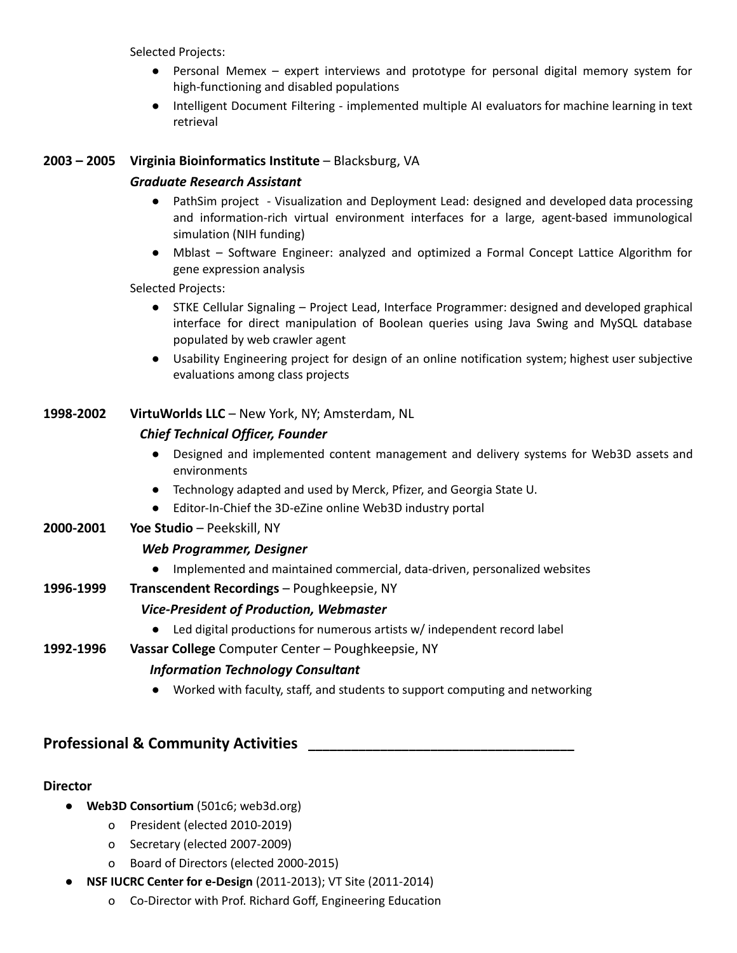Selected Projects:

- Personal Memex expert interviews and prototype for personal digital memory system for high-functioning and disabled populations
- Intelligent Document Filtering implemented multiple AI evaluators for machine learning in text retrieval

#### **2003 – 2005 Virginia Bioinformatics Institute** – Blacksburg, VA

#### *Graduate Research Assistant*

- PathSim project Visualization and Deployment Lead: designed and developed data processing and information-rich virtual environment interfaces for a large, agent-based immunological simulation (NIH funding)
- Mblast Software Engineer: analyzed and optimized a Formal Concept Lattice Algorithm for gene expression analysis

Selected Projects:

- STKE Cellular Signaling Project Lead, Interface Programmer: designed and developed graphical interface for direct manipulation of Boolean queries using Java Swing and MySQL database populated by web crawler agent
- Usability Engineering project for design of an online notification system; highest user subjective evaluations among class projects

### **1998-2002 VirtuWorlds LLC** – New York, NY; Amsterdam, NL

#### *Chief Technical Officer, Founder*

- Designed and implemented content management and delivery systems for Web3D assets and environments
- Technology adapted and used by Merck, Pfizer, and Georgia State U.
- Editor-In-Chief the 3D-eZine online Web3D industry portal

#### **2000-2001 Yoe Studio** – Peekskill, NY

#### *Web Programmer, Designer*

● Implemented and maintained commercial, data-driven, personalized websites

#### **1996-1999 Transcendent Recordings** – Poughkeepsie, NY

#### *Vice-President of Production, Webmaster*

● Led digital productions for numerous artists w/ independent record label

#### **1992-1996 Vassar College** Computer Center – Poughkeepsie, NY

#### *Information Technology Consultant*

● Worked with faculty, staff, and students to support computing and networking

# **Professional & Community Activities \_\_\_\_\_\_\_\_\_\_\_\_\_\_\_\_\_\_\_\_\_\_\_\_\_\_\_\_\_\_\_\_\_\_\_\_\_**

#### **Director**

- **Web3D Consortium** (501c6; web3d.org)
	- o President (elected 2010-2019)
	- o Secretary (elected 2007-2009)
	- o Board of Directors (elected 2000-2015)
- **NSF IUCRC Center for e-Design** (2011-2013); VT Site (2011-2014)
	- o Co-Director with Prof. Richard Goff, Engineering Education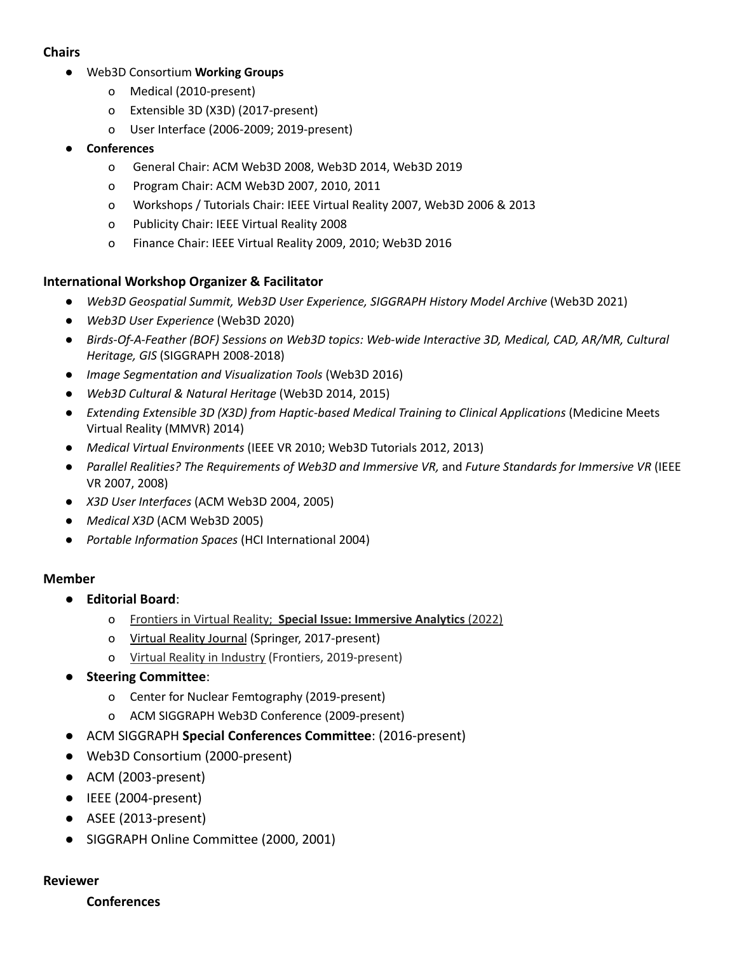# **Chairs**

- Web3D Consortium **Working Groups**
	- o Medical (2010-present)
	- o Extensible 3D (X3D) (2017-present)
	- o User Interface (2006-2009; 2019-present)

#### **● Conferences**

- o General Chair: ACM Web3D 2008, Web3D 2014, Web3D 2019
- o Program Chair: ACM Web3D 2007, 2010, 2011
- o Workshops / Tutorials Chair: IEEE Virtual Reality 2007, Web3D 2006 & 2013
- o Publicity Chair: IEEE Virtual Reality 2008
- o Finance Chair: IEEE Virtual Reality 2009, 2010; Web3D 2016

### **International Workshop Organizer & Facilitator**

- *Web3D Geospatial Summit, Web3D User Experience, SIGGRAPH History Model Archive* (Web3D 2021)
- *Web3D User Experience* (Web3D 2020)
- *Birds-Of-A-Feather (BOF) Sessions on Web3D topics: Web-wide Interactive 3D, Medical, CAD, AR/MR, Cultural Heritage, GIS* (SIGGRAPH 2008-2018)
- *Image Segmentation and Visualization Tools* (Web3D 2016)
- *Web3D Cultural & Natural Heritage* (Web3D 2014, 2015)
- *Extending Extensible 3D (X3D) from Haptic-based Medical Training to Clinical Applications* (Medicine Meets Virtual Reality (MMVR) 2014)
- *Medical Virtual Environments* (IEEE VR 2010; Web3D Tutorials 2012, 2013)
- *Parallel Realities? The Requirements of Web3D and Immersive VR,* and *Future Standards for Immersive VR* (IEEE VR 2007, 2008)
- *X3D User Interfaces* (ACM Web3D 2004, 2005)
- *Medical X3D* (ACM Web3D 2005)
- *Portable Information Spaces* (HCI International 2004)

#### **Member**

- **Editorial Board**:
	- o Frontiers in Virtual Reality; **Special Issue: Immersive Analytics** (2022)
	- o Virtual Reality Journal (Springer, 2017-present)
	- o Virtual Reality in Industry (Frontiers, 2019-present)
- **Steering Committee**:
	- o Center for Nuclear Femtography (2019-present)
	- o ACM SIGGRAPH Web3D Conference (2009-present)
- ACM SIGGRAPH **Special Conferences Committee**: (2016-present)
- Web3D Consortium (2000-present)
- ACM (2003-present)
- IEEE (2004-present)
- ASEE (2013-present)
- SIGGRAPH Online Committee (2000, 2001)

#### **Reviewer**

#### **Conferences**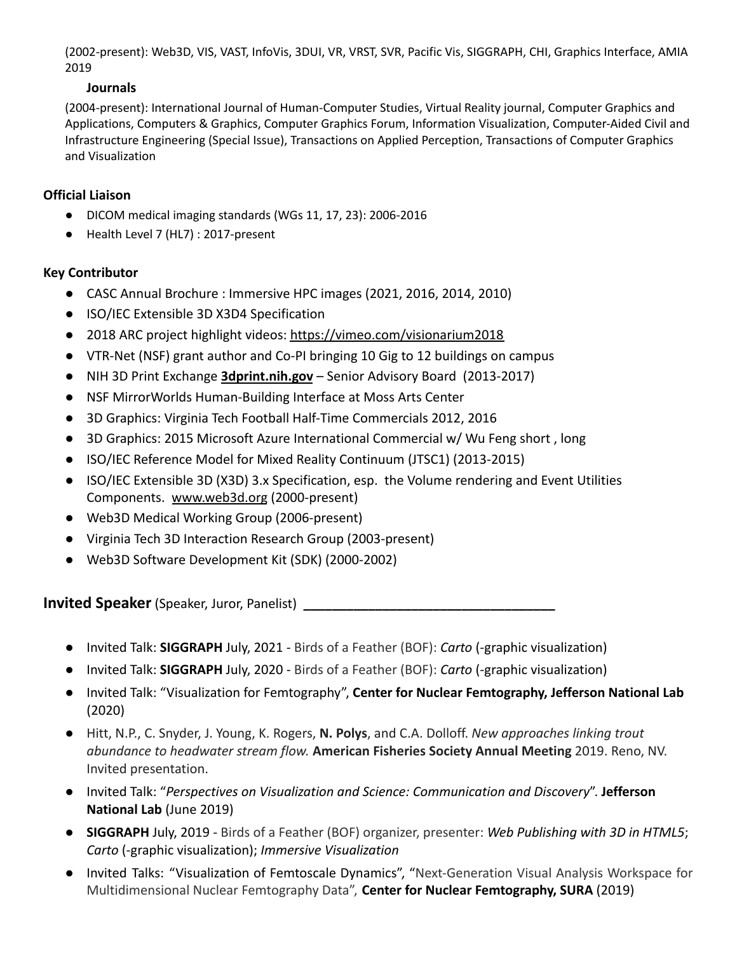(2002-present): Web3D, VIS, VAST, InfoVis, 3DUI, VR, VRST, SVR, Pacific Vis, SIGGRAPH, CHI, Graphics Interface, AMIA 2019

# **Journals**

(2004-present): International Journal of Human-Computer Studies, Virtual Reality journal, Computer Graphics and Applications, Computers & Graphics, Computer Graphics Forum, Information Visualization, Computer-Aided Civil and Infrastructure Engineering (Special Issue), Transactions on Applied Perception, Transactions of Computer Graphics and Visualization

# **Official Liaison**

- DICOM medical imaging standards (WGs 11, 17, 23): 2006-2016
- Health Level 7 (HL7) : 2017-present

# **Key Contributor**

- CASC Annual Brochure : Immersive HPC images (2021, 2016, 2014, 2010)
- ISO/IEC Extensible 3D X3D4 Specification
- 2018 ARC project highlight videos: <https://vimeo.com/visionarium2018>
- VTR-Net (NSF) grant author and Co-PI bringing 10 Gig to 12 buildings on campus
- NIH 3D Print Exchange **[3dprint.nih.gov](https://3dprint.nih.gov/)** Senior Advisory Board (2013-2017)
- NSF [MirrorWorlds Human-Building Interface at Moss](http://www.icat.vt.edu/mirrorworlds/) Arts Center
- 3D Graphics: Virginia Tech Football Half-Time Commercials [2012,](https://www.youtube.com/watch?v=p8nER5wb6cA) [2016](https://www.youtube.com/watch?v=Jl9iL2a-pmw)
- 3D Graphics: 2015 Microsoft Azure International Commercial w/ Wu Feng [short](https://www.youtube.com/watch?v=GY2Bg0op-Kc), [long](https://www.youtube.com/watch?v=7Zw8gKJXgI4)
- ISO/IEC Reference Model for Mixed Reality Continuum (JTSC1) (2013-2015)
- ISO/IEC Extensible 3D (X3D) 3.x Specification, esp. the Volume rendering and Event Utilities Components. [www.web3d.org](http://www.web3d.org/) (2000-present)
- Web3D Medical Working Group (2006-present)
- Virginia Tech 3D Interaction Research Group (2003-present)
- Web3D Software Development Kit (SDK) (2000-2002)

**Invited Speaker** (Speaker, Juror, Panelist) **\_\_\_\_\_\_\_\_\_\_\_\_\_\_\_\_\_\_\_\_\_\_\_\_\_\_\_\_\_\_\_\_\_\_\_**

- *●* Invited Talk: **SIGGRAPH** July, 2021 Birds of a Feather (BOF): *Carto* (-graphic visualization)
- *●* Invited Talk: **SIGGRAPH** July, 2020 Birds of a Feather (BOF): *Carto* (-graphic visualization)
- *●* Invited Talk: "Visualization for Femtography", **Center for Nuclear Femtography, Jefferson National Lab** (2020)
- *●* Hitt, N.P., C. Snyder, J. Young, K. Rogers, **N. Polys**, and C.A. Dolloff. *New approaches linking trout abundance to headwater stream flow.* **American Fisheries Society Annual Meeting** 2019. Reno, NV. Invited presentation.
- *●* Invited Talk: "*Perspectives on Visualization and Science: Communication and Discovery*". **Jefferson National Lab** (June 2019)
- *●* **SIGGRAPH** July, 2019 Birds of a Feather (BOF) organizer, presenter: *Web Publishing with 3D in HTML5*; *Carto* (-graphic visualization); *Immersive Visualization*
- *●* Invited Talks: "Visualization of Femtoscale Dynamics", "Next-Generation Visual Analysis Workspace for Multidimensional Nuclear Femtography Data", **Center for Nuclear Femtography, SURA** (2019)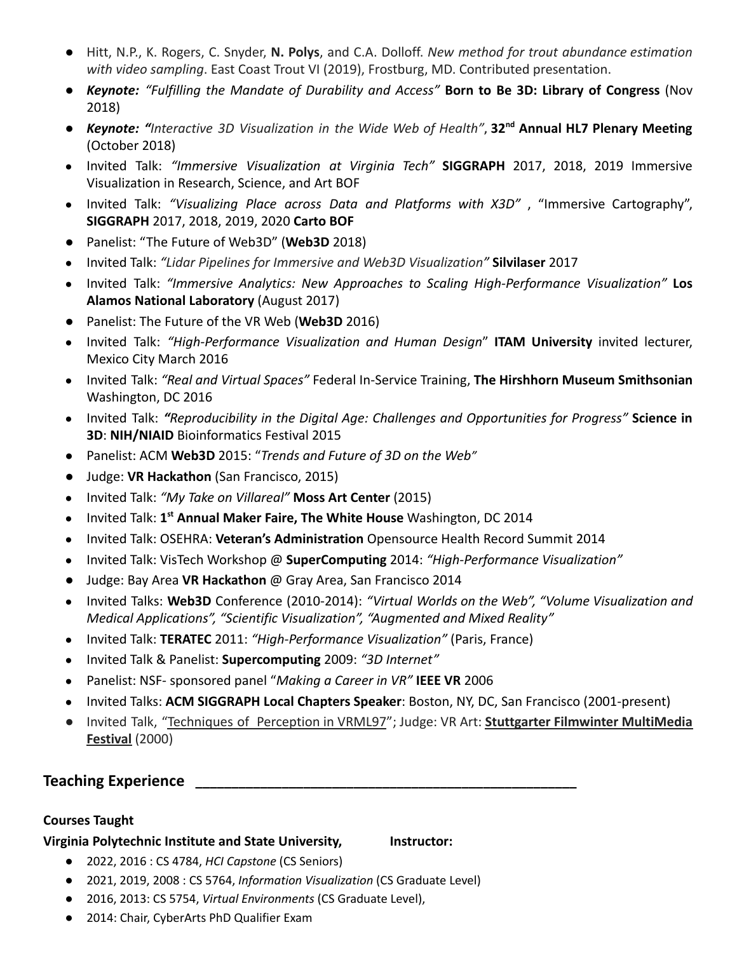- Hitt, N.P., K. Rogers, C. Snyder, **N. Polys**, and C.A. Dolloff. *New method for trout abundance estimation with video sampling*. East Coast Trout VI (2019), Frostburg, MD. Contributed presentation.
- *Keynote: "Fulfilling the Mandate of Durability and Access"* **Born to Be 3D: Library of Congress** (Nov 2018)
- Keynote: "Interactive 3D Visualization in the Wide Web of Health", 32<sup>nd</sup> Annual HL7 Plenary Meeting (October 2018)
- Invited Talk: *"Immersive Visualization at Virginia Tech"* **SIGGRAPH** 2017, 2018, 2019 Immersive Visualization in Research, Science, and Art BOF
- Invited Talk: *"Visualizing Place across Data and Platforms with X3D"* , "Immersive Cartography", **SIGGRAPH** 2017, 2018, 2019, 2020 **Carto BOF**
- Panelist: "The Future of Web3D" (**Web3D** 2018)
- Invited Talk: *"Lidar Pipelines for Immersive and Web3D Visualization"* **Silvilaser** 2017
- Invited Talk: *"Immersive Analytics: New Approaches to Scaling High-Performance Visualization"* **Los Alamos National Laboratory** (August 2017)
- Panelist: The Future of the VR Web (**Web3D** 2016)
- Invited Talk: *"High-Performance Visualization and Human Design*" **ITAM University** invited lecturer, Mexico City March 2016
- Invited Talk: *"Real and Virtual Spaces"* Federal In-Service Training, **The Hirshhorn Museum Smithsonian** Washington, DC 2016
- Invited Talk: *"Reproducibility in the Digital Age: Challenges and Opportunities for Progress"* **Science in 3D**: **NIH/NIAID** Bioinformatics Festival 2015
- Panelist: ACM **Web3D** 2015: "*Trends and Future of 3D on the Web"*
- Judge: **VR Hackathon** (San Francisco, 2015)
- Invited Talk: *"My Take on Villareal"* **Moss Art Center** (2015)
- Invited Talk: **1 st Annual Maker Faire, The White House** Washington, DC 2014
- Invited Talk: OSEHRA: **Veteran's Administration** Opensource Health Record Summit 2014
- Invited Talk: VisTech Workshop @ **SuperComputing** 2014: *"High-Performance Visualization"*
- Judge: Bay Area **VR Hackathon** @ Gray Area, San Francisco 2014
- Invited Talks: **Web3D** Conference (2010-2014): *"Virtual Worlds on the Web", "Volume Visualization and Medical Applications", "Scientific Visualization", "Augmented and Mixed Reality"*
- Invited Talk: **TERATEC** 2011: *"High-Performance Visualization"* (Paris, France)
- Invited Talk & Panelist: **Supercomputing** 2009: *"3D Internet"*
- Panelist: NSF- sponsored panel "*Making a Career in VR"* **IEEE VR** 2006
- Invited Talks: **ACM SIGGRAPH Local Chapters Speaker**: Boston, NY, DC, San Francisco (2001-present)
- Invited Talk, ["Techniques](http://virtuworlds.com/3DeZine_01/index.html) of Perception in VRML97"; Judge: VR Art: **Stuttgarter Filmwinter [MultiMedia](http://www.filmwinter.de/) [Festival](http://www.filmwinter.de/)** (2000)

# **Teaching Experience \_\_\_\_\_\_\_\_\_\_\_\_\_\_\_\_\_\_\_\_\_\_\_\_\_\_\_\_\_\_\_\_\_\_\_\_\_\_\_\_\_\_\_\_\_\_\_\_\_\_\_\_\_**

# **Courses Taught**

# **Virginia Polytechnic Institute and State University, Instructor:**

- 2022, 2016 : CS 4784, *HCI Capstone* (CS Seniors)
- 2021, 2019, 2008 : CS 5764, *Information Visualization* (CS Graduate Level)
- 2016, 2013: CS 5754, *Virtual Environments* (CS Graduate Level),
- 2014: Chair, CyberArts PhD Qualifier Exam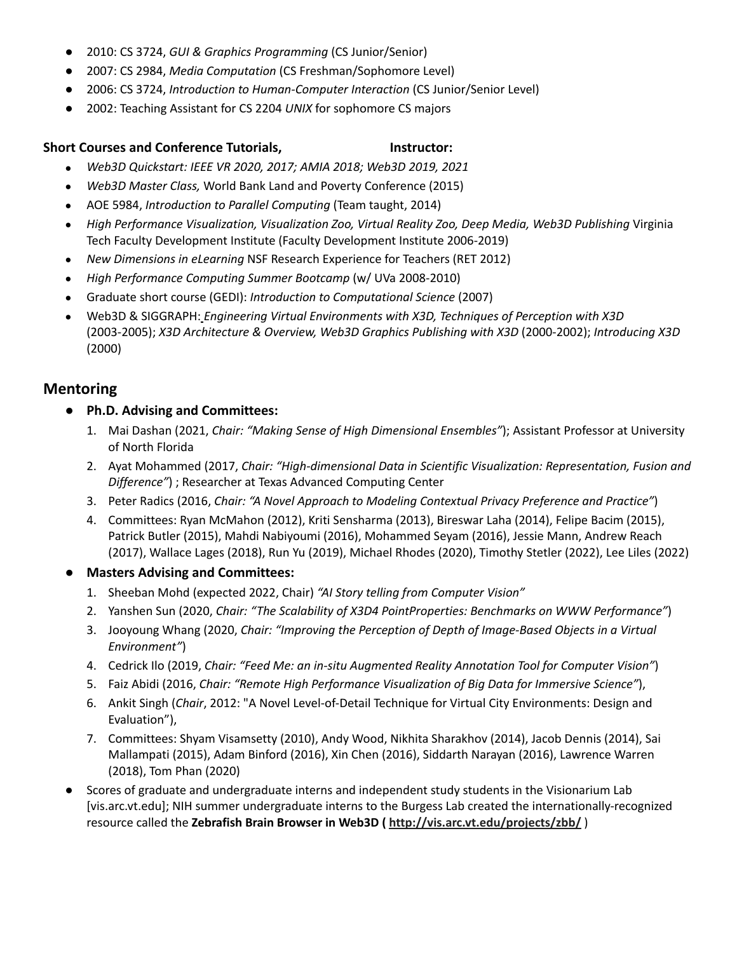- 2010: CS 3724, *GUI & Graphics Programming* (CS Junior/Senior)
- 2007: CS 2984, *Media Computation* (CS Freshman/Sophomore Level)
- 2006: CS 3724, *Introduction to Human-Computer Interaction* (CS Junior/Senior Level)
- 2002: Teaching Assistant for CS 2204 *UNIX* for sophomore CS majors

#### **Short Courses and Conference Tutorials, Instructor:**

- *Web3D Quickstart: IEEE VR 2020, 2017; AMIA 2018; Web3D 2019, 2021*
- *Web3D Master Class,* World Bank Land and Poverty Conference (2015)
- AOE 5984, *Introduction to Parallel Computing* (Team taught, 2014)
- *High Performance Visualization, Visualization Zoo, Virtual Reality Zoo, Deep Media, Web3D Publishing* Virginia Tech Faculty Development Institute (Faculty Development Institute 2006-2019)
- *New Dimensions in eLearning* NSF Research Experience for Teachers (RET 2012)
- *High Performance Computing Summer Bootcamp* (w/ UVa 2008-2010)
- Graduate short course (GEDI): *Introduction to Computational Science* (2007)
- Web3D & SIGGRAPH: *Engineering Virtual Environments with X3D, Techniques of Perception with X3D* (2003-2005); *X3D Architecture & Overview, Web3D Graphics Publishing with X3D* (2000-2002); *Introducing X3D* (2000)

# **Mentoring**

- **Ph.D. Advising and Committees:**
	- 1. Mai Dashan (2021, *Chair: "Making Sense of High Dimensional Ensembles"*); Assistant Professor at University of North Florida
	- 2. Ayat Mohammed (2017, *Chair: "High-dimensional Data in Scientific Visualization: Representation, Fusion and Difference"*) ; Researcher at Texas Advanced Computing Center
	- 3. Peter Radics (2016, *Chair: "A Novel Approach to Modeling Contextual Privacy Preference and Practice"*)
	- 4. Committees: Ryan McMahon (2012), Kriti Sensharma (2013), Bireswar Laha (2014), Felipe Bacim (2015), Patrick Butler (2015), Mahdi Nabiyoumi (2016), Mohammed Seyam (2016), Jessie Mann, Andrew Reach (2017), Wallace Lages (2018), Run Yu (2019), Michael Rhodes (2020), Timothy Stetler (2022), Lee Liles (2022)

#### **Masters Advising and Committees:**

- 1. Sheeban Mohd (expected 2022, Chair) *"AI Story telling from Computer Vision"*
- 2. Yanshen Sun (2020, *Chair: "The Scalability of X3D4 PointProperties: Benchmarks on WWW Performance"*)
- 3. Jooyoung Whang (2020, *Chair: "Improving the Perception of Depth of Image-Based Objects in a Virtual Environment"*)
- 4. Cedrick Ilo (2019, *Chair: "Feed Me: an in-situ Augmented Reality Annotation Tool for Computer Vision"*)
- 5. Faiz Abidi (2016, *Chair: "Remote High Performance Visualization of Big Data for Immersive Science"*),
- 6. Ankit Singh (*Chair*, 2012: "A Novel Level-of-Detail Technique for Virtual City Environments: Design and Evaluation"),
- 7. Committees: Shyam Visamsetty (2010), Andy Wood, Nikhita Sharakhov (2014), Jacob Dennis (2014), Sai Mallampati (2015), Adam Binford (2016), Xin Chen (2016), Siddarth Narayan (2016), Lawrence Warren (2018), Tom Phan (2020)
- Scores of graduate and undergraduate interns and independent study students in the Visionarium Lab [vis.arc.vt.edu]; NIH summer undergraduate interns to the Burgess Lab created the internationally-recognized resource called the **Zebrafish Brain Browser in Web3D ( <http://vis.arc.vt.edu/projects/zbb/>** )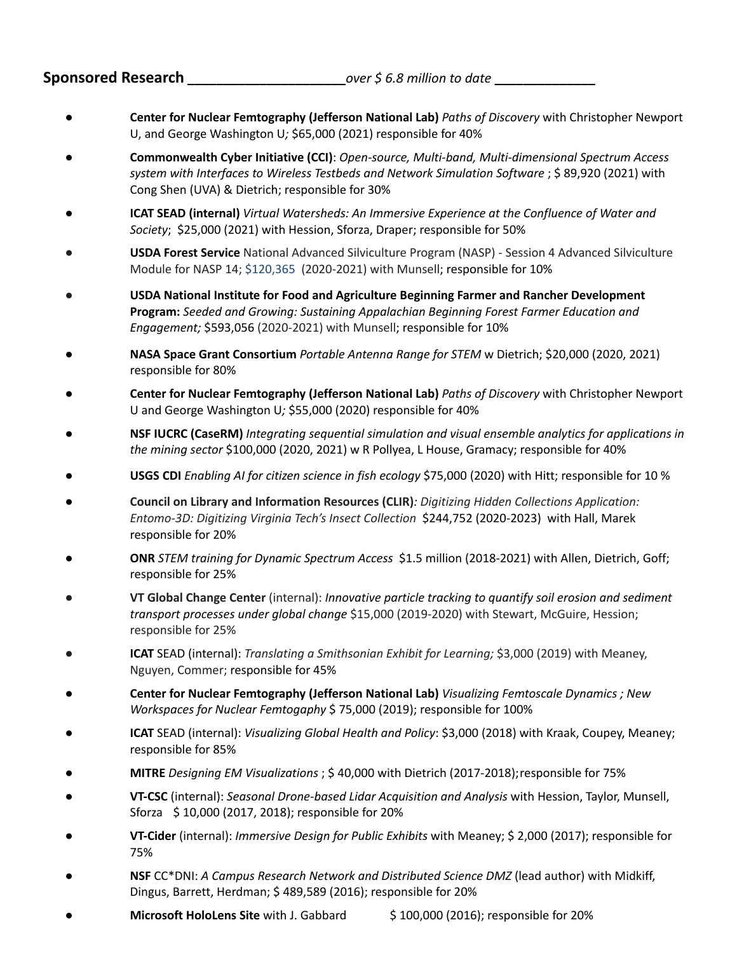**Sponsored Research \_\_\_\_\_\_\_\_\_\_\_\_\_\_\_\_\_\_\_\_\_\_***over \$ 6.8 million to date* **\_\_\_\_\_\_\_\_\_\_\_\_\_\_**

- **Center for Nuclear Femtography (Jefferson National Lab)** *Paths of Discovery* with Christopher Newport U, and George Washington U*;* \$65,000 (2021) responsible for 40%
- **Commonwealth Cyber Initiative (CCI)**: *Open-source, Multi-band, Multi-dimensional Spectrum Access system with Interfaces to Wireless Testbeds and Network Simulation Software* ; \$ 89,920 (2021) with Cong Shen (UVA) & Dietrich; responsible for 30%
- **ICAT SEAD (internal)** *Virtual Watersheds: An Immersive Experience at the Confluence of Water and Society*; \$25,000 (2021) with Hession, Sforza, Draper; responsible for 50%
- **USDA Forest Service** National Advanced Silviculture Program (NASP) Session 4 Advanced Silviculture Module for NASP 14; \$120,365 (2020-2021) with Munsell; responsible for 10%
- **USDA National Institute for Food and Agriculture Beginning Farmer and Rancher Development Program:** *Seeded and Growing: Sustaining Appalachian Beginning Forest Farmer Education and Engagement;* \$593,056 (2020-2021) with Munsell; responsible for 10%
- **NASA Space Grant Consortium** *Portable Antenna Range for STEM* w Dietrich; \$20,000 (2020, 2021) responsible for 80%
- **Center for Nuclear Femtography (Jefferson National Lab)** *Paths of Discovery* with Christopher Newport U and George Washington U*;* \$55,000 (2020) responsible for 40%
- **NSF IUCRC (CaseRM)** *Integrating sequential simulation and visual ensemble analytics for applications in the mining sector* \$100,000 (2020, 2021) w R Pollyea, L House, Gramacy; responsible for 40%
- **USGS CDI** *Enabling AI for citizen science in fish ecology* \$75,000 (2020) with Hitt; responsible for 10 %
- **Council on Library and Information Resources (CLIR)***: Digitizing Hidden Collections Application: Entomo-3D: Digitizing Virginia Tech's Insect Collection* \$244,752 (2020-2023) with Hall, Marek responsible for 20%
- **ONR** *STEM training for Dynamic Spectrum Access* \$1.5 million (2018-2021) with Allen, Dietrich, Goff; responsible for 25%
- *●* **VT Global Change Center** (internal): *Innovative particle tracking to quantify soil erosion and sediment transport processes under global change* \$15,000 (2019-2020) with Stewart, McGuire, Hession; responsible for 25%
- *●* **ICAT** SEAD (internal): *Translating a Smithsonian Exhibit for Learning;* \$3,000 (2019) with Meaney, Nguyen, Commer; responsible for 45%
- **Center for Nuclear Femtography (Jefferson National Lab)** *Visualizing Femtoscale Dynamics ; New Workspaces for Nuclear Femtogaphy* \$ 75,000 (2019); responsible for 100%
- **ICAT** SEAD (internal): *Visualizing Global Health and Policy*: \$3,000 (2018) with Kraak, Coupey, Meaney; responsible for 85%
- **MITRE** *Designing EM Visualizations* ; \$ 40,000 with Dietrich (2017-2018);responsible for 75%
- **VT-CSC** (internal): *Seasonal Drone-based Lidar Acquisition and Analysis* with Hession, Taylor, Munsell, Sforza \$ 10,000 (2017, 2018); responsible for 20%
- **VT-Cider** (internal): *Immersive Design for Public Exhibits* with Meaney; \$ 2,000 (2017); responsible for 75%
- **NSF** CC\*DNI: *A Campus Research Network and Distributed Science DMZ* (lead author) with Midkiff, Dingus, Barrett, Herdman; \$ 489,589 (2016); responsible for 20%
- **Microsoft HoloLens Site** with J. Gabbard \$ 100,000 (2016); responsible for 20%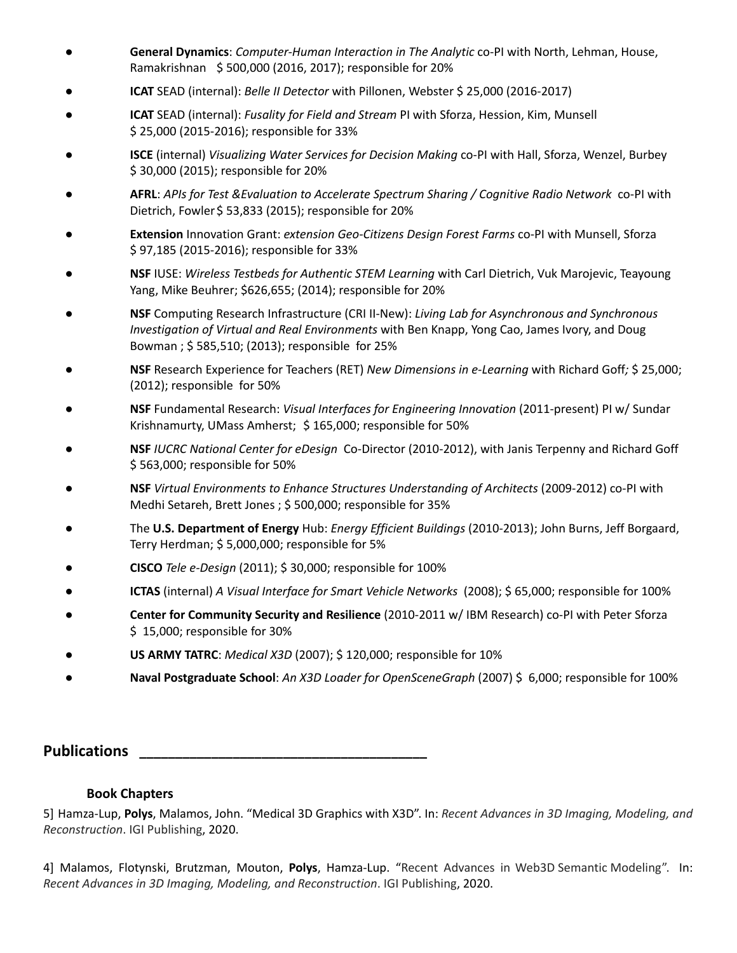- **General Dynamics**: *Computer-Human Interaction in The Analytic* co-PI with North, Lehman, House, Ramakrishnan \$ 500,000 (2016, 2017); responsible for 20%
- **ICAT** SEAD (internal): *Belle II Detector* with Pillonen, Webster \$ 25,000 (2016-2017)
- **ICAT** SEAD (internal): *Fusality for Field and Stream* PI with Sforza, Hession, Kim, Munsell \$ 25,000 (2015-2016); responsible for 33%
- **ISCE** (internal) *Visualizing Water Services for Decision Making* co-PI with Hall, Sforza, Wenzel, Burbey \$ 30,000 (2015); responsible for 20%
- **AFRL**: *APIs for Test &Evaluation to Accelerate Spectrum Sharing / Cognitive Radio Network* co-PI with Dietrich, Fowler \$53,833 (2015); responsible for 20%
- **Extension** Innovation Grant: *extension Geo-Citizens Design Forest Farms* co-PI with Munsell, Sforza \$ 97,185 (2015-2016); responsible for 33%
- **NSF** IUSE: *Wireless Testbeds for Authentic STEM Learning* with Carl Dietrich, Vuk Marojevic, Teayoung Yang, Mike Beuhrer; \$626,655; (2014); responsible for 20%
- **NSF** Computing Research Infrastructure (CRI II-New): *Living Lab for Asynchronous and Synchronous Investigation of Virtual and Real Environments* with Ben Knapp, Yong Cao, James Ivory, and Doug Bowman ; \$ 585,510; (2013); responsible for 25%
- **NSF** Research Experience for Teachers (RET) *New Dimensions in e-Learning* with Richard Goff*;* \$ 25,000; (2012); responsible for 50%
- **NSF** Fundamental Research: *Visual Interfaces for Engineering Innovation* (2011-present) PI w/ Sundar Krishnamurty, UMass Amherst; \$ 165,000; responsible for 50%
- **NSF** *IUCRC National Center for eDesign* Co-Director (2010-2012), with Janis Terpenny and Richard Goff \$ 563,000; responsible for 50%
- **NSF** *Virtual Environments to Enhance Structures Understanding of Architects* (2009-2012) co-PI with Medhi Setareh, Brett Jones ; \$ 500,000; responsible for 35%
- The **U.S. Department of Energy** Hub: *Energy Efficient Buildings* (2010-2013); John Burns, Jeff Borgaard, Terry Herdman; \$ 5,000,000; responsible for 5%
- **CISCO** *Tele e-Design* (2011); \$ 30,000; responsible for 100%
- **ICTAS** (internal) *A Visual Interface for Smart Vehicle Networks* (2008); \$ 65,000; responsible for 100%
- **Center for Community Security and Resilience** (2010-2011 w/ IBM Research) co-PI with Peter Sforza \$ 15,000; responsible for 30%
- **US ARMY TATRC**: *Medical X3D* (2007); \$ 120,000; responsible for 10%
- **Naval Postgraduate School**: *An X3D Loader for OpenSceneGraph* (2007) \$ 6,000; responsible for 100%

**Publications \_\_\_\_\_\_\_\_\_\_\_\_\_\_\_\_\_\_\_\_\_\_\_\_\_\_\_\_\_\_\_\_\_\_\_\_\_\_\_\_**

#### **Book Chapters**

5] Hamza-Lup, **Polys**, Malamos, John. "Medical 3D Graphics with X3D". In: *Recent Advances in 3D Imaging, Modeling, and Reconstruction*. IGI Publishing, 2020.

4] Malamos, Flotynski, Brutzman, Mouton, **Polys**, Hamza-Lup. "Recent Advances in Web3D Semantic Modeling". In: *Recent Advances in 3D Imaging, Modeling, and Reconstruction*. IGI Publishing, 2020.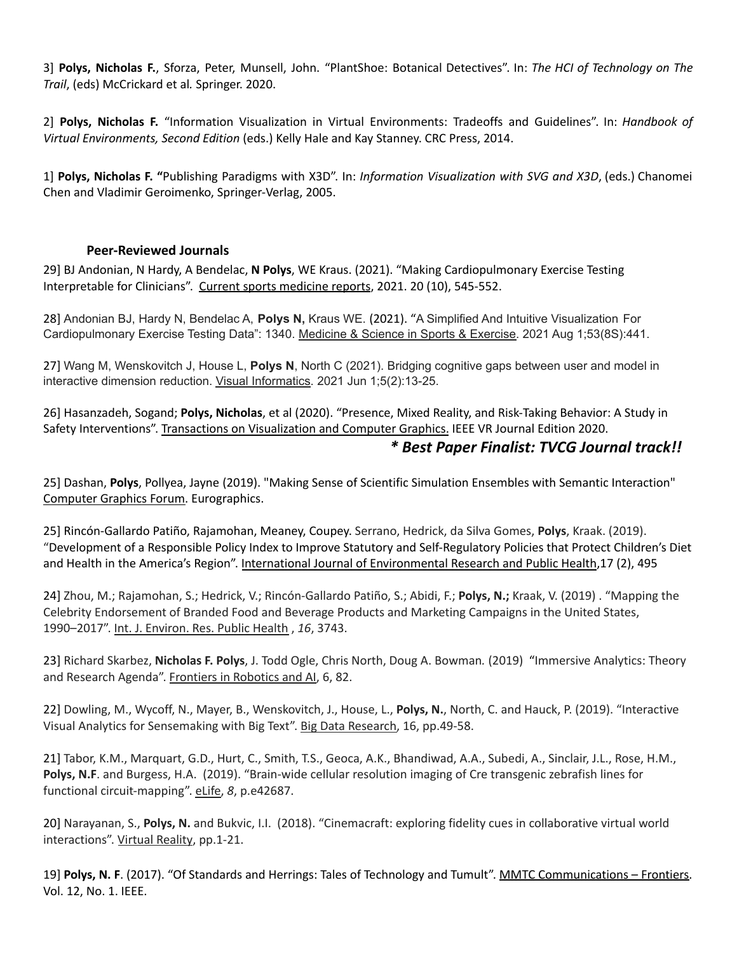3] **Polys, Nicholas F.**, Sforza, Peter, Munsell, John. "PlantShoe: Botanical Detectives". In: *The HCI of Technology on The Trail*, (eds) McCrickard et al*.* Springer. 2020.

2] **Polys, Nicholas F.** "Information Visualization in Virtual Environments: Tradeoffs and Guidelines". In: *Handbook of Virtual Environments, Second Edition* (eds.) Kelly Hale and Kay Stanney. CRC Press, 2014.

1] **Polys, Nicholas F. "**Publishing Paradigms with X3D". In: *Information Visualization with SVG and X3D*, (eds.) Chanomei Chen and Vladimir Geroimenko, Springer-Verlag, 2005.

#### **Peer-Reviewed Journals**

29] BJ Andonian, N Hardy, A Bendelac, **N Polys**, WE Kraus. (2021). "Making Cardiopulmonary Exercise Testing Interpretable for Clinicians". Current sports medicine reports, 2021. 20 (10), 545-552.

28] Andonian BJ, Hardy N, Bendelac A, **Polys N,** Kraus WE. (2021). "A Simplified And Intuitive Visualization For Cardiopulmonary Exercise Testing Data": 1340. Medicine & Science in Sports & Exercise. 2021 Aug 1;53(8S):441.

27] Wang M, Wenskovitch J, House L, **Polys N**, North C (2021). Bridging cognitive gaps between user and model in interactive dimension reduction. Visual Informatics. 2021 Jun 1;5(2):13-25.

26] Hasanzadeh, Sogand; **Polys, Nicholas**, et al (2020). "Presence, Mixed Reality, and Risk-Taking Behavior: A Study in Safety Interventions". Transactions on Visualization and Computer Graphics. IEEE VR Journal Edition 2020.

# *\* Best Paper Finalist: TVCG Journal track!!*

25] Dashan, **Polys**, Pollyea, Jayne (2019). "Making Sense of Scientific Simulation Ensembles with Semantic Interaction" Computer Graphics Forum. Eurographics.

25] Rincón-Gallardo Patiño, Rajamohan, Meaney, Coupey. Serrano, Hedrick, da Silva Gomes, **Polys**, Kraak. (2019). "Development of a Responsible Policy Index to Improve Statutory and Self-Regulatory Policies that Protect Children's Diet and Health in the America's Region". International Journal of Environmental Research and Public Health,17 (2), 495

24] Zhou, M.; Rajamohan, S.; Hedrick, V.; Rincón-Gallardo Patiño, S.; Abidi, F.; **Polys, N.;** Kraak, V. (2019) . "Mapping the Celebrity Endorsement of Branded Food and Beverage Products and Marketing Campaigns in the United States, 1990–2017". Int. J. Environ. Res. Public Health , *16*, 3743.

23] Richard Skarbez, **Nicholas F. Polys**, J. Todd Ogle, Chris North, Doug A. Bowman*.* (2019) "Immersive Analytics: Theory and Research Agenda". Frontiers in Robotics and AI, 6, 82.

22] Dowling, M., Wycoff, N., Mayer, B., Wenskovitch, J., House, L., **Polys, N.**, North, C. and Hauck, P. (2019). "Interactive Visual Analytics for Sensemaking with Big Text". Big Data Research, 16, pp.49-58.

21] Tabor, K.M., Marquart, G.D., Hurt, C., Smith, T.S., Geoca, A.K., Bhandiwad, A.A., Subedi, A., Sinclair, J.L., Rose, H.M., **Polys, N.F**. and Burgess, H.A. (2019). "Brain-wide cellular resolution imaging of Cre transgenic zebrafish lines for functional circuit-mapping". eLife, *8*, p.e42687.

20] Narayanan, S., **Polys, N.** and Bukvic, I.I. (2018). "Cinemacraft: exploring fidelity cues in collaborative virtual world interactions". Virtual Reality, pp.1-21.

19] **Polys, N. F**. (2017). "Of Standards and Herrings: Tales of Technology and Tumult". MMTC Communications – Frontiers. Vol. 12, No. 1. IEEE.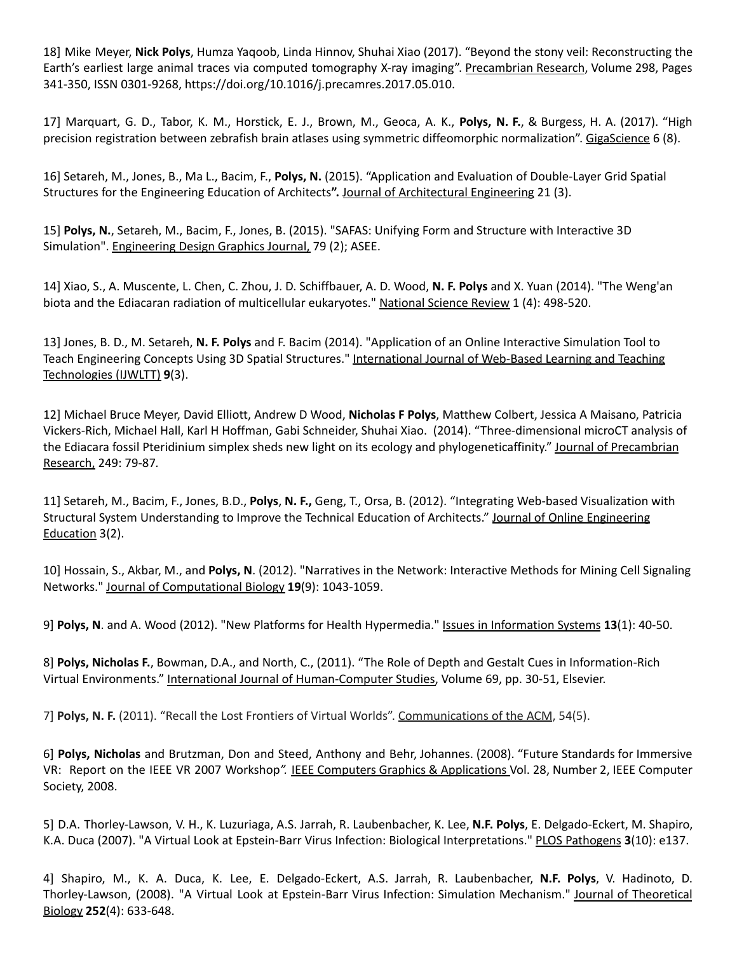18] Mike Meyer, **Nick Polys**, Humza Yaqoob, Linda Hinnov, Shuhai Xiao (2017). "Beyond the stony veil: Reconstructing the Earth's earliest large animal traces via computed tomography X-ray imaging". Precambrian Research, Volume 298, Pages 341-350, ISSN 0301-9268, https://doi.org/10.1016/j.precamres.2017.05.010.

17] Marquart, G. D., Tabor, K. M., Horstick, E. J., Brown, M., Geoca, A. K., **Polys, N. F.**, & Burgess, H. A. (2017). "High precision registration between zebrafish brain atlases using symmetric diffeomorphic normalization". GigaScience 6 (8).

16] Setareh, M., Jones, B., Ma L., Bacim, F., **Polys, N.** (2015). "Application and Evaluation of Double-Layer Grid Spatial Structures for the Engineering Education of Architects**".** Journal of Architectural Engineering 21 (3).

15] **Polys, N.**, Setareh, M., Bacim, F., Jones, B. (2015). "SAFAS: Unifying Form and Structure with Interactive 3D Simulation". Engineering Design Graphics Journal, 79 (2); ASEE.

14] Xiao, S., A. Muscente, L. Chen, C. Zhou, J. D. Schiffbauer, A. D. Wood, **N. F. Polys** and X. Yuan (2014). "The Weng'an biota and the Ediacaran radiation of multicellular eukaryotes." National Science Review 1 (4): 498-520.

13] Jones, B. D., M. Setareh, **N. F. Polys** and F. Bacim (2014). "Application of an Online Interactive Simulation Tool to Teach Engineering Concepts Using 3D Spatial Structures." International Journal of Web-Based Learning and Teaching Technologies (IJWLTT) **9**(3).

12] Michael Bruce Meyer, David Elliott, Andrew D Wood, **Nicholas F Polys**, Matthew Colbert, Jessica A Maisano, Patricia Vickers-Rich, Michael Hall, Karl H Hoffman, Gabi Schneider, Shuhai Xiao. (2014). "Three-dimensional microCT analysis of the Ediacara fossil Pteridinium simplex sheds new light on its ecology and phylogeneticaffinity." Journal of Precambrian Research, 249: 79-87*.*

11] Setareh, M., Bacim, F., Jones, B.D., **Polys**, **N. F.,** Geng, T., Orsa, B. (2012). "Integrating Web-based Visualization with Structural System Understanding to Improve the Technical Education of Architects." Journal of Online Engineering Education 3(2).

10] Hossain, S., Akbar, M., and **Polys, N**. (2012). "Narratives in the Network: Interactive Methods for Mining Cell Signaling Networks." Journal of Computational Biology **19**(9): 1043-1059.

9] **Polys, N**. and A. Wood (2012). "New Platforms for Health Hypermedia." Issues in Information Systems **13**(1): 40-50.

8] **Polys, Nicholas F.**, Bowman, D.A., and North, C., (2011). "The Role of Depth and Gestalt Cues in Information-Rich Virtual Environments." International Journal of Human-Computer Studies, Volume 69, pp. 30-51, Elsevier.

7] **Polys, N. F.** (2011). "Recall the Lost Frontiers of Virtual Worlds". Communications of the ACM, 54(5).

6] **Polys, Nicholas** and Brutzman, Don and Steed, Anthony and Behr, Johannes. (2008). "Future Standards for Immersive VR: Report on the IEEE VR 2007 Workshop*".* IEEE Computers Graphics & Applications Vol. 28, Number 2, IEEE Computer Society, 2008.

5] D.A. Thorley-Lawson, V. H., K. Luzuriaga, A.S. Jarrah, R. Laubenbacher, K. Lee, **N.F. Polys**, E. Delgado-Eckert, M. Shapiro, K.A. Duca (2007). "A Virtual Look at Epstein-Barr Virus Infection: Biological Interpretations." PLOS Pathogens **3**(10): e137.

4] Shapiro, M., K. A. Duca, K. Lee, E. Delgado-Eckert, A.S. Jarrah, R. Laubenbacher, **N.F. Polys**, V. Hadinoto, D. Thorley-Lawson, (2008). "A Virtual Look at Epstein-Barr Virus Infection: Simulation Mechanism." Journal of Theoretical Biology **252**(4): 633-648.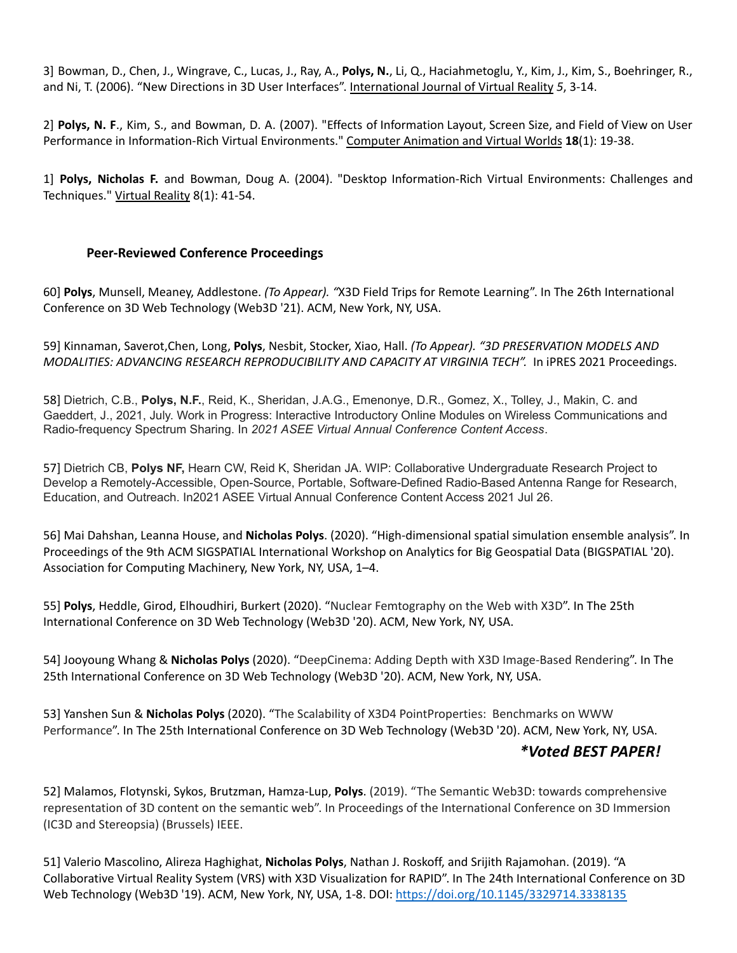3] Bowman, D., Chen, J., Wingrave, C., Lucas, J., Ray, A., **Polys, N.**, Li, Q., Haciahmetoglu, Y., Kim, J., Kim, S., Boehringer, R., and Ni, T. (2006). "New Directions in 3D User Interfaces". International Journal of Virtual Reality *5*, 3-14.

2] **Polys, N. F**., Kim, S., and Bowman, D. A. (2007). "Effects of Information Layout, Screen Size, and Field of View on User Performance in Information-Rich Virtual Environments." Computer Animation and Virtual Worlds **18**(1): 19-38.

1] **Polys, Nicholas F.** and Bowman, Doug A. (2004). "Desktop Information-Rich Virtual Environments: Challenges and Techniques." Virtual Reality 8(1): 41-54.

#### **Peer-Reviewed Conference Proceedings**

60] **Polys**, Munsell, Meaney, Addlestone. *(To Appear). "*X3D Field Trips for Remote Learning". In The 26th International Conference on 3D Web Technology (Web3D '21). ACM, New York, NY, USA.

59] Kinnaman, Saverot,Chen, Long, **Polys**, Nesbit, Stocker, Xiao, Hall. *(To Appear). "3D PRESERVATION MODELS AND MODALITIES: ADVANCING RESEARCH REPRODUCIBILITY AND CAPACITY AT VIRGINIA TECH".* In iPRES 2021 Proceedings.

58] Dietrich, C.B., **Polys, N.F.**, Reid, K., Sheridan, J.A.G., Emenonye, D.R., Gomez, X., Tolley, J., Makin, C. and Gaeddert, J., 2021, July. Work in Progress: Interactive Introductory Online Modules on Wireless Communications and Radio-frequency Spectrum Sharing. In *2021 ASEE Virtual Annual Conference Content Access*.

57] Dietrich CB, **Polys NF,** Hearn CW, Reid K, Sheridan JA. WIP: Collaborative Undergraduate Research Project to Develop a Remotely-Accessible, Open-Source, Portable, Software-Defined Radio-Based Antenna Range for Research, Education, and Outreach. In2021 ASEE Virtual Annual Conference Content Access 2021 Jul 26.

56] Mai Dahshan, Leanna House, and **Nicholas Polys**. (2020). "High-dimensional spatial simulation ensemble analysis". In Proceedings of the 9th ACM SIGSPATIAL International Workshop on Analytics for Big Geospatial Data (BIGSPATIAL '20). Association for Computing Machinery, New York, NY, USA, 1–4.

55] **Polys**, Heddle, Girod, Elhoudhiri, Burkert (2020). "Nuclear Femtography on the Web with X3D". In The 25th International Conference on 3D Web Technology (Web3D '20). ACM, New York, NY, USA.

54] Jooyoung Whang & **Nicholas Polys** (2020). "DeepCinema: Adding Depth with X3D Image-Based Rendering". In The 25th International Conference on 3D Web Technology (Web3D '20). ACM, New York, NY, USA.

53] Yanshen Sun & **Nicholas Polys** (2020). "The Scalability of X3D4 PointProperties: Benchmarks on WWW Performance". In The 25th International Conference on 3D Web Technology (Web3D '20). ACM, New York, NY, USA.

# *\*Voted BEST PAPER!*

52] Malamos, Flotynski, Sykos, Brutzman, Hamza-Lup, **Polys**. (2019). "The Semantic Web3D: towards comprehensive representation of 3D content on the semantic web". In Proceedings of the International Conference on 3D Immersion (IC3D and Stereopsia) (Brussels) IEEE.

51] Valerio Mascolino, Alireza Haghighat, **Nicholas Polys**, Nathan J. Roskoff, and Srijith Rajamohan. (2019). "A Collaborative Virtual Reality System (VRS) with X3D Visualization for RAPID". In The 24th International Conference on 3D Web Technology (Web3D '19). ACM, New York, NY, USA, 1-8. DOI: <https://doi.org/10.1145/3329714.3338135>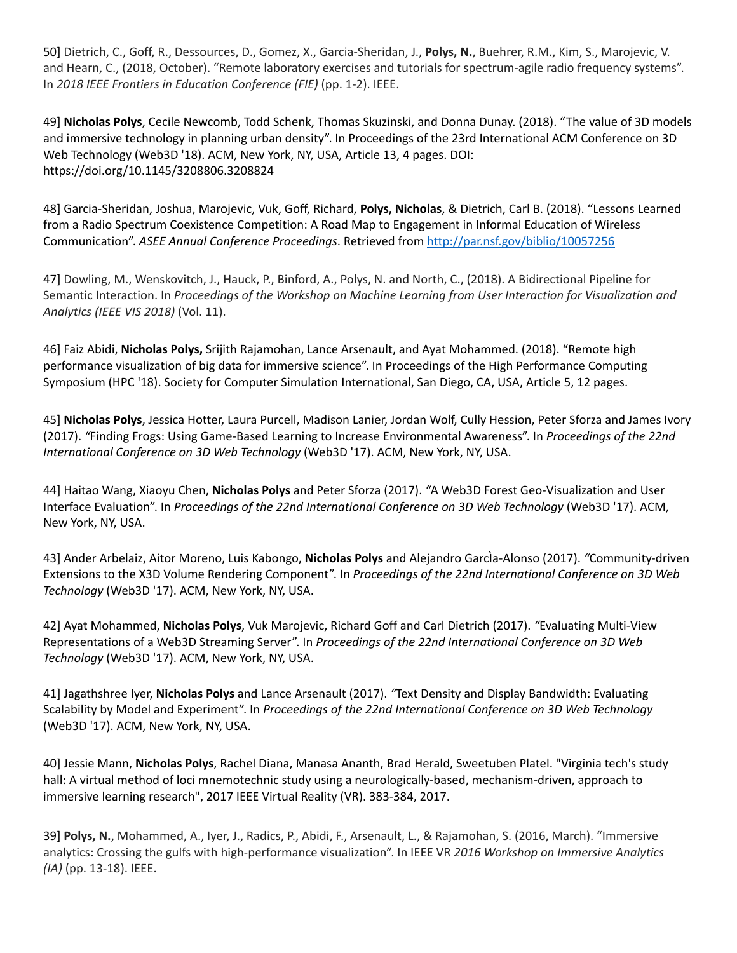50] Dietrich, C., Goff, R., Dessources, D., Gomez, X., Garcia-Sheridan, J., **Polys, N.**, Buehrer, R.M., Kim, S., Marojevic, V. and Hearn, C., (2018, October). "Remote laboratory exercises and tutorials for spectrum-agile radio frequency systems". In *2018 IEEE Frontiers in Education Conference (FIE)* (pp. 1-2). IEEE.

49] **Nicholas Polys**, Cecile Newcomb, Todd Schenk, Thomas Skuzinski, and Donna Dunay. (2018). "The value of 3D models and immersive technology in planning urban density". In Proceedings of the 23rd International ACM Conference on 3D Web Technology (Web3D '18). ACM, New York, NY, USA, Article 13, 4 pages. DOI: https://doi.org/10.1145/3208806.3208824

48] Garcia-Sheridan, Joshua, Marojevic, Vuk, Goff, Richard, **Polys, Nicholas**, & Dietrich, Carl B. (2018). "Lessons Learned from a Radio Spectrum Coexistence Competition: A Road Map to Engagement in Informal Education of Wireless Communication". *ASEE Annual Conference Proceedings*. Retrieved from <http://par.nsf.gov/biblio/10057256>

47] Dowling, M., Wenskovitch, J., Hauck, P., Binford, A., Polys, N. and North, C., (2018). A Bidirectional Pipeline for Semantic Interaction. In *Proceedings of the Workshop on Machine Learning from User Interaction for Visualization and Analytics (IEEE VIS 2018)* (Vol. 11).

46] Faiz Abidi, **Nicholas Polys,** Srijith Rajamohan, Lance Arsenault, and Ayat Mohammed. (2018). "Remote high performance visualization of big data for immersive science". In Proceedings of the High Performance Computing Symposium (HPC '18). Society for Computer Simulation International, San Diego, CA, USA, Article 5, 12 pages.

45] **Nicholas Polys**, Jessica Hotter, Laura Purcell, Madison Lanier, Jordan Wolf, Cully Hession, Peter Sforza and James Ivory (2017). *"*Finding Frogs: Using Game-Based Learning to Increase Environmental Awareness". In *Proceedings of the 22nd International Conference on 3D Web Technology* (Web3D '17). ACM, New York, NY, USA.

44] Haitao Wang, Xiaoyu Chen, **Nicholas Polys** and Peter Sforza (2017). *"*A Web3D Forest Geo-Visualization and User Interface Evaluation". In *Proceedings of the 22nd International Conference on 3D Web Technology* (Web3D '17). ACM, New York, NY, USA.

43] Ander Arbelaiz, Aitor Moreno, Luis Kabongo, **Nicholas Polys** and Alejandro GarcÌa-Alonso (2017). *"*Community-driven Extensions to the X3D Volume Rendering Component". In *Proceedings of the 22nd International Conference on 3D Web Technology* (Web3D '17). ACM, New York, NY, USA.

42] Ayat Mohammed, **Nicholas Polys**, Vuk Marojevic, Richard Goff and Carl Dietrich (2017). *"*Evaluating Multi-View Representations of a Web3D Streaming Server". In *Proceedings of the 22nd International Conference on 3D Web Technology* (Web3D '17). ACM, New York, NY, USA.

41] Jagathshree Iyer, **Nicholas Polys** and Lance Arsenault (2017). *"*Text Density and Display Bandwidth: Evaluating Scalability by Model and Experiment". In *Proceedings of the 22nd International Conference on 3D Web Technology* (Web3D '17). ACM, New York, NY, USA.

40] Jessie Mann, **Nicholas Polys**, Rachel Diana, Manasa Ananth, Brad Herald, Sweetuben Platel. "Virginia tech's study hall: A virtual method of loci mnemotechnic study using a neurologically-based, mechanism-driven, approach to immersive learning research", 2017 IEEE Virtual Reality (VR). 383-384, 2017.

39] **Polys, N.**, Mohammed, A., Iyer, J., Radics, P., Abidi, F., Arsenault, L., & Rajamohan, S. (2016, March). "Immersive analytics: Crossing the gulfs with high-performance visualization". In IEEE VR *2016 Workshop on Immersive Analytics (IA)* (pp. 13-18). IEEE.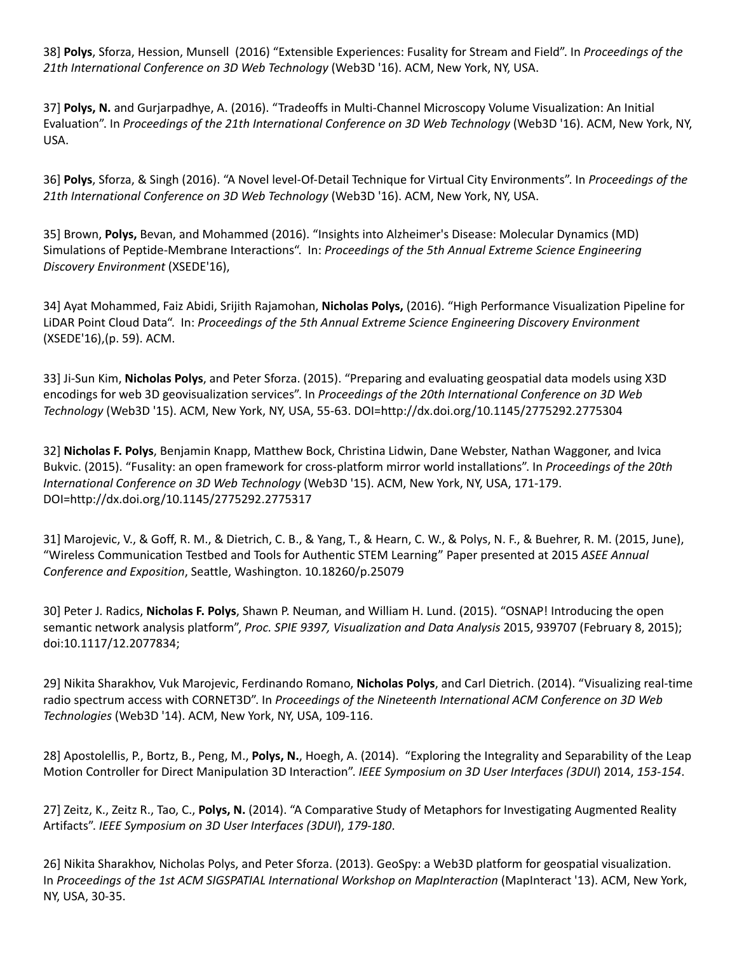38] **Polys**, Sforza, Hession, Munsell (2016) "Extensible Experiences: Fusality for Stream and Field". In *Proceedings of the 21th International Conference on 3D Web Technology* (Web3D '16). ACM, New York, NY, USA.

37] **Polys, N.** and Gurjarpadhye, A. (2016). "Tradeoffs in Multi-Channel Microscopy Volume Visualization: An Initial Evaluation". In *Proceedings of the 21th International Conference on 3D Web Technology* (Web3D '16). ACM, New York, NY, USA.

36] **Polys**, Sforza, & Singh (2016). "A Novel level-Of-Detail Technique for Virtual City Environments". In *Proceedings of the 21th International Conference on 3D Web Technology* (Web3D '16). ACM, New York, NY, USA.

35] Brown, **Polys,** Bevan, and Mohammed (2016). "Insights into Alzheimer's Disease: Molecular Dynamics (MD) Simulations of Peptide-Membrane Interactions". In: *Proceedings of the 5th Annual Extreme Science Engineering Discovery Environment* (XSEDE'16),

34] Ayat Mohammed, Faiz Abidi, Srijith Rajamohan, **Nicholas Polys,** (2016). "High Performance Visualization Pipeline for LiDAR Point Cloud Data". In: *Proceedings of the 5th Annual Extreme Science Engineering Discovery Environment* (XSEDE'16),(p. 59). ACM.

33] Ji-Sun Kim, **Nicholas Polys**, and Peter Sforza. (2015). "Preparing and evaluating geospatial data models using X3D encodings for web 3D geovisualization services". In *Proceedings of the 20th International Conference on 3D Web Technology* (Web3D '15). ACM, New York, NY, USA, 55-63. DOI=http://dx.doi.org/10.1145/2775292.2775304

32] **Nicholas F. Polys**, Benjamin Knapp, Matthew Bock, Christina Lidwin, Dane Webster, Nathan Waggoner, and Ivica Bukvic. (2015). "Fusality: an open framework for cross-platform mirror world installations". In *Proceedings of the 20th International Conference on 3D Web Technology* (Web3D '15). ACM, New York, NY, USA, 171-179. DOI=http://dx.doi.org/10.1145/2775292.2775317

31] Marojevic, V., & Goff, R. M., & Dietrich, C. B., & Yang, T., & Hearn, C. W., & Polys, N. F., & Buehrer, R. M. (2015, June), "Wireless Communication Testbed and Tools for Authentic STEM Learning" Paper presented at 2015 *ASEE Annual Conference and Exposition*, Seattle, Washington. 10.18260/p.25079

30] Peter J. Radics, **Nicholas F. Polys**, Shawn P. Neuman, and William H. Lund. (2015). "OSNAP! Introducing the open semantic network analysis platform", *Proc. SPIE 9397, Visualization and Data Analysis* 2015, 939707 (February 8, 2015); doi:10.1117/12.2077834;

29] Nikita Sharakhov, Vuk Marojevic, Ferdinando Romano, **Nicholas Polys**, and Carl Dietrich. (2014). "Visualizing real-time radio spectrum access with CORNET3D". In *Proceedings of the Nineteenth International ACM Conference on 3D Web Technologies* (Web3D '14). ACM, New York, NY, USA, 109-116.

28] Apostolellis, P., Bortz, B., Peng, M., **Polys, N.**, Hoegh, A. (2014). "Exploring the Integrality and Separability of the Leap Motion Controller for Direct Manipulation 3D Interaction". *IEEE Symposium on 3D User Interfaces (3DUI*) 2014, *153-154*.

27] Zeitz, K., Zeitz R., Tao, C., **Polys, N.** (2014). "A Comparative Study of Metaphors for Investigating Augmented Reality Artifacts". *IEEE Symposium on 3D User Interfaces (3DUI*), *179-180*.

26] Nikita Sharakhov, Nicholas Polys, and Peter Sforza. (2013). GeoSpy: a Web3D platform for geospatial visualization. In *Proceedings of the 1st ACM SIGSPATIAL International Workshop on MapInteraction* (MapInteract '13). ACM, New York, NY, USA, 30-35.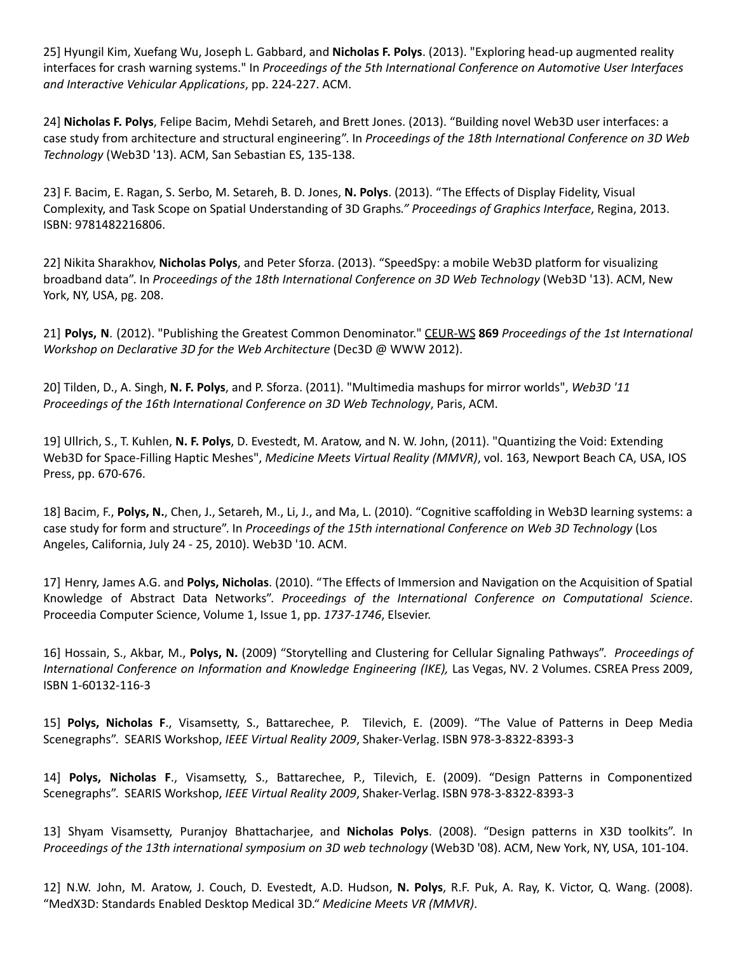25] Hyungil Kim, Xuefang Wu, Joseph L. Gabbard, and **Nicholas F. Polys**. (2013). "Exploring head-up augmented reality interfaces for crash warning systems." In *Proceedings of the 5th International Conference on Automotive User Interfaces and Interactive Vehicular Applications*, pp. 224-227. ACM.

24] **Nicholas F. Polys**, Felipe Bacim, Mehdi Setareh, and Brett Jones. (2013). "Building novel Web3D user interfaces: a case study from architecture and structural engineering". In *Proceedings of the 18th International Conference on 3D Web Technology* (Web3D '13). ACM, San Sebastian ES, 135-138.

23] F. Bacim, E. Ragan, S. Serbo, M. Setareh, B. D. Jones, **N. Polys**. (2013). "The Effects of Display Fidelity, Visual Complexity, and Task Scope on Spatial Understanding of 3D Graphs*." Proceedings of Graphics Interface*, Regina, 2013. ISBN: 9781482216806.

22] Nikita Sharakhov, **Nicholas Polys**, and Peter Sforza. (2013). "SpeedSpy: a mobile Web3D platform for visualizing broadband data". In *Proceedings of the 18th International Conference on 3D Web Technology* (Web3D '13). ACM, New York, NY, USA, pg. 208.

21] **Polys, N**. (2012). "Publishing the Greatest Common Denominator." CEUR-WS **869** *Proceedings of the 1st International Workshop on Declarative 3D for the Web Architecture* (Dec3D @ WWW 2012).

20] Tilden, D., A. Singh, **N. F. Polys**, and P. Sforza. (2011). "Multimedia mashups for mirror worlds", *Web3D '11 Proceedings of the 16th International Conference on 3D Web Technology*, Paris, ACM.

19] Ullrich, S., T. Kuhlen, **N. F. Polys**, D. Evestedt, M. Aratow, and N. W. John, (2011). "Quantizing the Void: Extending Web3D for Space-Filling Haptic Meshes", *Medicine Meets Virtual Reality (MMVR)*, vol. 163, Newport Beach CA, USA, IOS Press, pp. 670-676.

18] Bacim, F., **Polys, N.**, Chen, J., Setareh, M., Li, J., and Ma, L. (2010). "Cognitive scaffolding in Web3D learning systems: a case study for form and structure". In *Proceedings of the 15th international Conference on Web 3D Technology* (Los Angeles, California, July 24 - 25, 2010). Web3D '10. ACM.

17] Henry, James A.G. and **Polys, Nicholas**. (2010). "The Effects of Immersion and Navigation on the Acquisition of Spatial Knowledge of Abstract Data Networks". *Proceedings of the International Conference on Computational Science*. Proceedia Computer Science, Volume 1, Issue 1, pp. *1737-1746*, Elsevier.

16] Hossain, S., Akbar, M., **Polys, N.** (2009) "Storytelling and Clustering for Cellular Signaling Pathways". *Proceedings of International Conference on Information and Knowledge Engineering (IKE),* Las Vegas, NV*.* 2 Volumes. CSREA Press 2009, ISBN 1-60132-116-3

15] **Polys, Nicholas F**., Visamsetty, S., Battarechee, P. Tilevich, E. (2009). "The Value of Patterns in Deep Media Scenegraphs". SEARIS Workshop, *IEEE Virtual Reality 2009*, Shaker-Verlag. ISBN 978-3-8322-8393-3

14] **Polys, Nicholas F**., Visamsetty, S., Battarechee, P., Tilevich, E. (2009). "Design Patterns in Componentized Scenegraphs". SEARIS Workshop, *IEEE Virtual Reality 2009*, Shaker-Verlag. ISBN 978-3-8322-8393-3

13] Shyam Visamsetty, Puranjoy Bhattacharjee, and **Nicholas Polys**. (2008). "Design patterns in X3D toolkits". In *Proceedings of the 13th international symposium on 3D web technology* (Web3D '08). ACM, New York, NY, USA, 101-104.

12] N.W. John, M. Aratow, J. Couch, D. Evestedt, A.D. Hudson, **N. Polys**, R.F. Puk, A. Ray, K. Victor, Q. Wang. (2008). "MedX3D: Standards Enabled Desktop Medical 3D." *Medicine Meets VR (MMVR)*.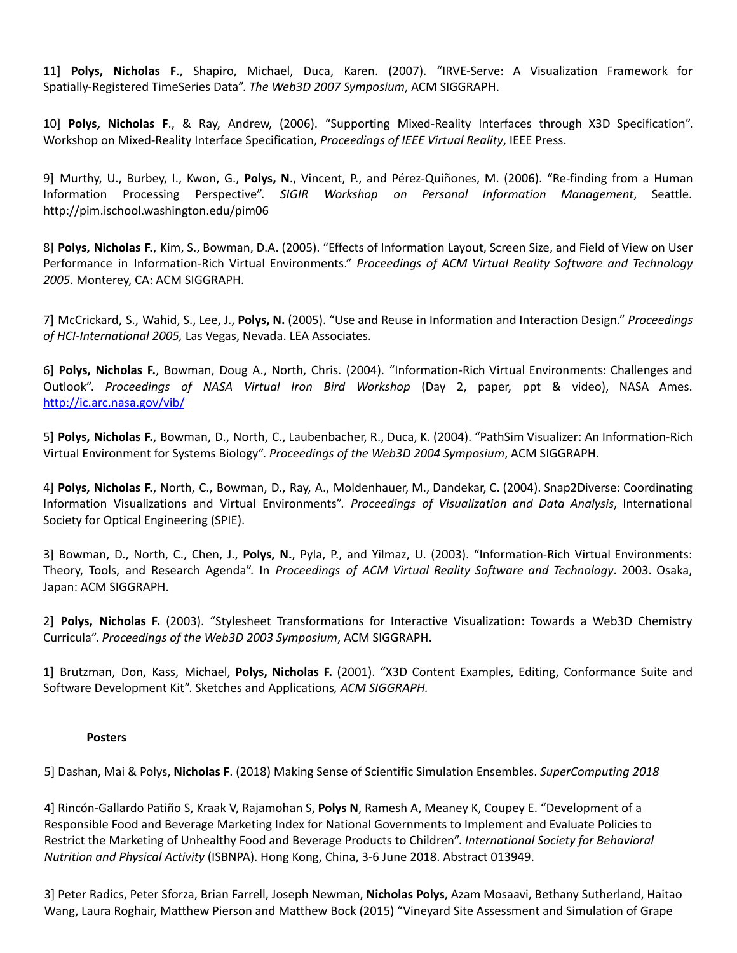11] **Polys, Nicholas F**., Shapiro, Michael, Duca, Karen. (2007). "IRVE-Serve: A Visualization Framework for Spatially-Registered TimeSeries Data". *The Web3D 2007 Symposium*, ACM SIGGRAPH.

10] **Polys, Nicholas F**., & Ray, Andrew, (2006). "Supporting Mixed-Reality Interfaces through X3D Specification". Workshop on Mixed-Reality Interface Specification, *Proceedings of IEEE Virtual Reality*, IEEE Press.

9] Murthy, U., Burbey, I., Kwon, G., **Polys, N**., Vincent, P., and Pérez-Quiñones, M. (2006). "Re-finding from a Human Information Processing Perspective". *SIGIR Workshop on Personal Information Management*, Seattle. http://pim.ischool.washington.edu/pim06

8] **Polys, Nicholas F.**, Kim, S., Bowman, D.A. (2005). "Effects of Information Layout, Screen Size, and Field of View on User Performance in Information-Rich Virtual Environments." *Proceedings of ACM Virtual Reality Software and Technology 2005*. Monterey, CA: ACM SIGGRAPH.

7] McCrickard, S., Wahid, S., Lee, J., **Polys, N.** (2005). "Use and Reuse in Information and Interaction Design." *Proceedings of HCI-International 2005,* Las Vegas, Nevada. LEA Associates.

6] **Polys, Nicholas F.**, Bowman, Doug A., North, Chris. (2004). "Information-Rich Virtual Environments: Challenges and Outlook". *Proceedings of NASA Virtual Iron Bird Workshop* (Day 2, paper, ppt & video), NASA Ames. <http://ic.arc.nasa.gov/vib/>

5] **Polys, Nicholas F.**, Bowman, D., North, C., Laubenbacher, R., Duca, K. (2004). "PathSim Visualizer: An Information-Rich Virtual Environment for Systems Biology". *Proceedings of the Web3D 2004 Symposium*, ACM SIGGRAPH.

4] **Polys, Nicholas F.**, North, C., Bowman, D., Ray, A., Moldenhauer, M., Dandekar, C. (2004). Snap2Diverse: Coordinating Information Visualizations and Virtual Environments". *Proceedings of Visualization and Data Analysis*, International Society for Optical Engineering (SPIE).

3] Bowman, D., North, C., Chen, J., **Polys, N.**, Pyla, P., and Yilmaz, U. (2003). "Information-Rich Virtual Environments: Theory, Tools, and Research Agenda". In *Proceedings of ACM Virtual Reality Software and Technology*. 2003. Osaka, Japan: ACM SIGGRAPH.

2] **Polys, Nicholas F.** (2003). "Stylesheet Transformations for Interactive Visualization: Towards a Web3D Chemistry Curricula". *Proceedings of the Web3D 2003 Symposium*, ACM SIGGRAPH.

1] Brutzman, Don, Kass, Michael, **Polys, Nicholas F.** (2001). "X3D Content Examples, Editing, Conformance Suite and Software Development Kit". Sketches and Applications*, ACM SIGGRAPH.*

#### **Posters**

5] Dashan, Mai & Polys, **Nicholas F**. (2018) Making Sense of Scientific Simulation Ensembles. *SuperComputing 2018*

4] Rincón-Gallardo Patiño S, Kraak V, Rajamohan S, **Polys N**, Ramesh A, Meaney K, Coupey E. "Development of a Responsible Food and Beverage Marketing Index for National Governments to Implement and Evaluate Policies to Restrict the Marketing of Unhealthy Food and Beverage Products to Children". *International Society for Behavioral Nutrition and Physical Activity* (ISBNPA). Hong Kong, China, 3-6 June 2018. [Abstract](https://www.isbnpa.org/files/articles/2018/05/31/102/attachments/5b0fe90165613.pdf) 013949.

3] Peter Radics, Peter Sforza, Brian Farrell, Joseph Newman, **Nicholas Polys**, Azam Mosaavi, Bethany Sutherland, Haitao Wang, Laura Roghair, Matthew Pierson and Matthew Bock (2015) "Vineyard Site Assessment and Simulation of Grape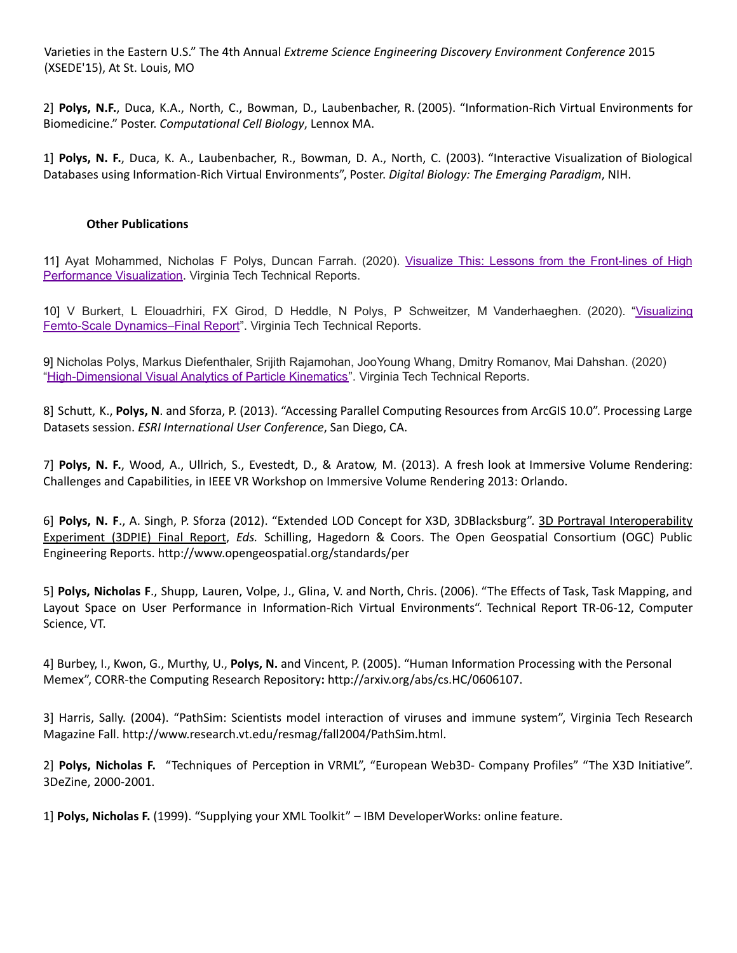Varieties in the Eastern U.S." The 4th Annual *Extreme Science Engineering Discovery Environment Conference* 2015 (XSEDE'15), At St. Louis, MO

2] **Polys, N.F.**, Duca, K.A., North, C., Bowman, D., Laubenbacher, R. (2005). "Information-Rich Virtual Environments for Biomedicine." Poster. *Computational Cell Biology*, Lennox MA.

1] **Polys, N. F.**, Duca, K. A., Laubenbacher, R., Bowman, D. A., North, C. (2003). "Interactive Visualization of Biological Databases using Information-Rich Virtual Environments", Poster. *Digital Biology: The Emerging Paradigm*, NIH.

#### **Other Publications**

11] Ayat Mohammed, Nicholas F Polys, Duncan Farrah. (2020). Visualize This: Lessons from the [Front-lines](https://vtechworks.lib.vt.edu/handle/10919/97517) of High [Performance](https://vtechworks.lib.vt.edu/handle/10919/97517) Visualization. Virginia Tech Technical Reports.

10] V Burkert, L Elouadrhiri, FX Girod, D Heddle, N Polys, P Schweitzer, M Vanderhaeghen. (2020). ["Visualizing](https://vtechworks.lib.vt.edu/handle/10919/97510) Femto-Scale [Dynamics–Final](https://vtechworks.lib.vt.edu/handle/10919/97510) Report". Virginia Tech Technical Reports.

9] Nicholas Polys, Markus Diefenthaler, Srijith Rajamohan, JooYoung Whang, Dmitry Romanov, Mai Dahshan. (2020) ["High-Dimensional](https://vtechworks.lib.vt.edu/handle/10919/97511) Visual Analytics of Particle Kinematics". Virginia Tech Technical Reports.

8] Schutt, K., **Polys, N**. and Sforza, P. (2013). "Accessing Parallel Computing Resources from ArcGIS 10.0". Processing Large Datasets session. *ESRI International User Conference*, San Diego, CA.

7] **Polys, N. F.**, Wood, A., Ullrich, S., Evestedt, D., & Aratow, M. (2013). A fresh look at Immersive Volume Rendering: Challenges and Capabilities, in IEEE VR Workshop on Immersive Volume Rendering 2013: Orlando.

6] **Polys, N. F**., A. Singh, P. Sforza (2012). "Extended LOD Concept for X3D, 3DBlacksburg". 3D Portrayal Interoperability Experiment (3DPIE) Final Report, *Eds.* Schilling, Hagedorn & Coors. The Open Geospatial Consortium (OGC) Public Engineering Reports. http://www.opengeospatial.org/standards/per

5] **Polys, Nicholas F**., Shupp, Lauren, Volpe, J., Glina, V. and North, Chris. (2006). "The Effects of Task, Task Mapping, and Layout Space on User Performance in Information-Rich Virtual Environments". Technical Report TR-06-12, Computer Science, VT.

4] Burbey, I., Kwon, G., Murthy, U., **Polys, N.** and Vincent, P. (2005). "Human Information Processing with the Personal Memex", CORR-the Computing Research Repository**:** http://arxiv.org/abs/cs.HC/0606107.

3] Harris, Sally. (2004). "PathSim: Scientists model interaction of viruses and immune system", Virginia Tech Research Magazine Fall. http://www.research.vt.edu/resmag/fall2004/PathSim.html.

2] **Polys, Nicholas F.** "Techniques of Perception in VRML", "European Web3D- Company Profiles" "The X3D Initiative". 3DeZine, 2000-2001.

1] **Polys, Nicholas F.** (1999). "Supplying your XML Toolkit" – IBM DeveloperWorks: online feature.